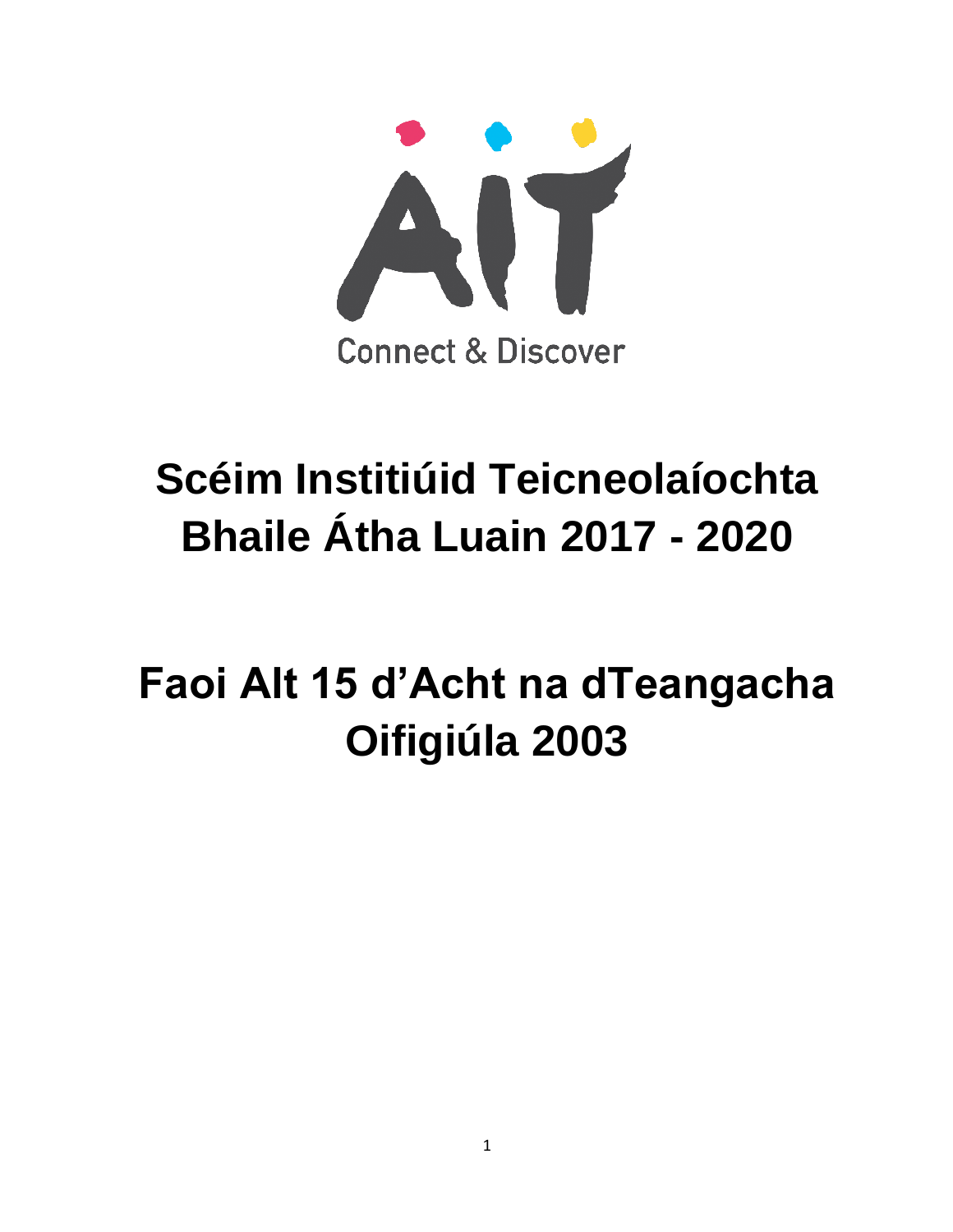

### **Scéim Institiúid Teicneolaíochta Bhaile Átha Luain 2017 - 2020**

## **Faoi Alt 15 d'Acht na dTeangacha Oifigiúla 2003**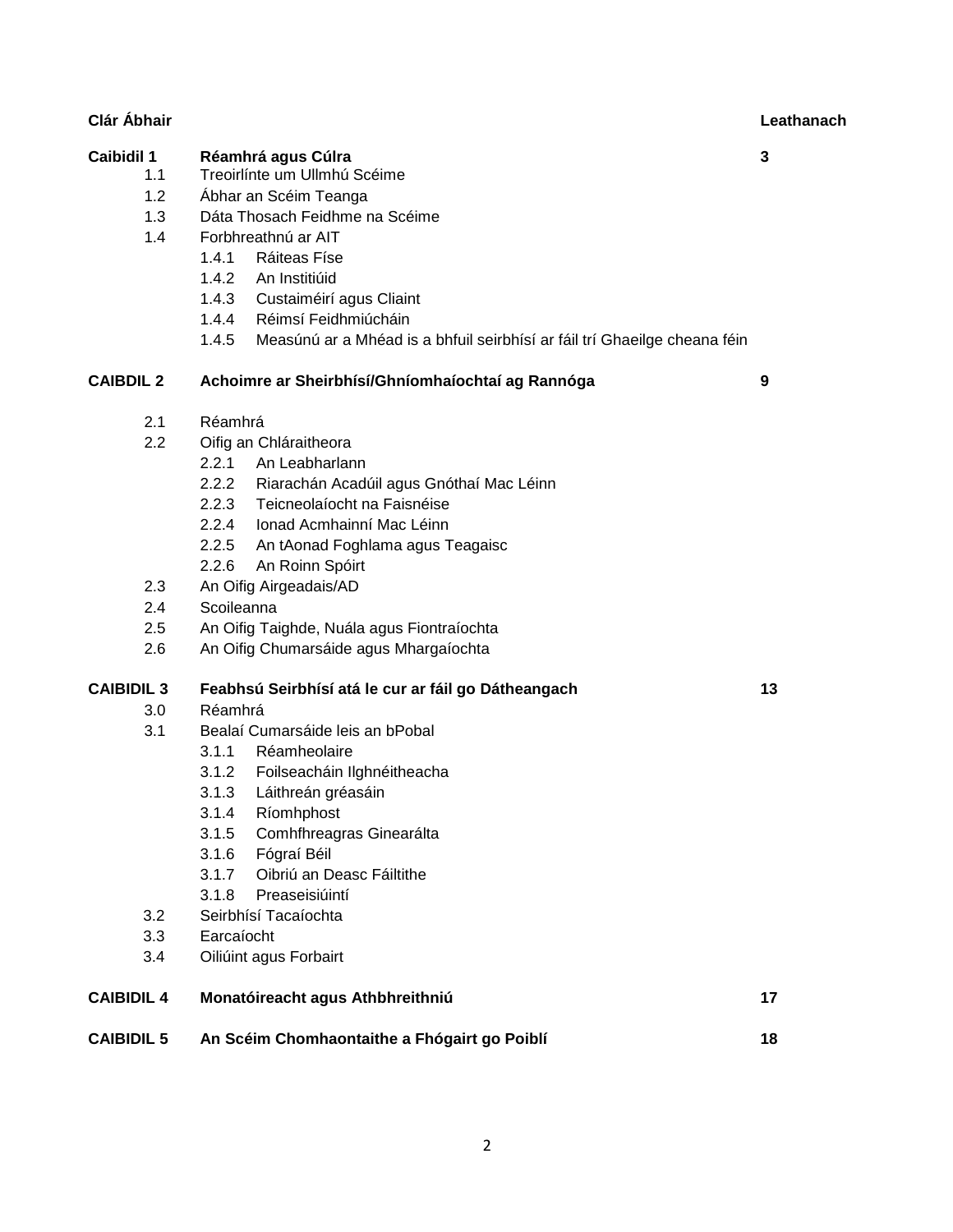|                   | <b>I</b> UIDIIIUUIIIIU UI AII                                                      |    |
|-------------------|------------------------------------------------------------------------------------|----|
|                   | 1.4.1 Ráiteas Físe                                                                 |    |
|                   | 1.4.2<br>An Institiúid                                                             |    |
|                   | 1.4.3 Custaiméirí agus Cliaint                                                     |    |
|                   | 1.4.4<br>Réimsí Feidhmiúcháin                                                      |    |
|                   | 1.4.5<br>Measúnú ar a Mhéad is a bhfuil seirbhísí ar fáil trí Ghaeilge cheana féin |    |
| <b>CAIBDIL 2</b>  | Achoimre ar Sheirbhísí/Ghníomhaíochtaí ag Rannóga                                  | 9  |
| 2.1               | Réamhrá                                                                            |    |
| 2.2               | Oifig an Chláraitheora                                                             |    |
|                   | 2.2.1 An Leabharlann                                                               |    |
|                   | 2.2.2 Riarachán Acadúil agus Gnóthaí Mac Léinn                                     |    |
|                   | 2.2.3 Teicneolaíocht na Faisnéise                                                  |    |
|                   | 2.2.4 Ionad Acmhainní Mac Léinn                                                    |    |
|                   | 2.2.5 An tAonad Foghlama agus Teagaisc                                             |    |
|                   | 2.2.6<br>An Roinn Spóirt                                                           |    |
| 2.3               | An Oifig Airgeadais/AD                                                             |    |
| 2.4               | Scoileanna                                                                         |    |
| 2.5               | An Oifig Taighde, Nuála agus Fiontraíochta                                         |    |
| 2.6               | An Oifig Chumarsáide agus Mhargaíochta                                             |    |
| <b>CAIBIDIL 3</b> | Feabhsú Seirbhísí atá le cur ar fáil go Dátheangach                                | 13 |
| 3.0 <sub>1</sub>  | Réamhrá                                                                            |    |
| 3.1               | Bealaí Cumarsáide leis an bPobal                                                   |    |
|                   | 3.1.1 Réamheolaire                                                                 |    |
|                   | 3.1.2 Foilseacháin Ilghnéitheacha                                                  |    |
|                   | 3.1.3 Láithreán gréasáin                                                           |    |
|                   | 3.1.4<br>Ríomhphost                                                                |    |
|                   | 3.1.5<br>Comhfhreagras Ginearálta                                                  |    |
|                   | 3.1.6 Fógraí Béil                                                                  |    |
|                   | Oibriú an Deasc Fáiltithe<br>3.1.7                                                 |    |
|                   | 3.1.8<br>Preaseisiúintí                                                            |    |
| 3.2               | Seirbhísí Tacaíochta                                                               |    |
| 3.3               | Earcaíocht                                                                         |    |
| 3.4               | Oiliúint agus Forbairt                                                             |    |
| <b>CAIBIDIL 4</b> | Monatóireacht agus Athbhreithniú                                                   | 17 |

### 1.2 Ábhar an Scéim Teanga

- 1.3 Dáta Thosach Feidhme na Scéime
- 1.4 Forbhreathnú ar AIT

#### **Caibidil 1 Réamhrá agus Cúlra 3** 1.1 Treoirlínte um Ullmhú Scéime

- 
- 
- 

**CAIBIDIL 5 An Scéim Chomhaontaithe a Fhógairt go Poiblí 18**

**Clár Ábhair Leathanach**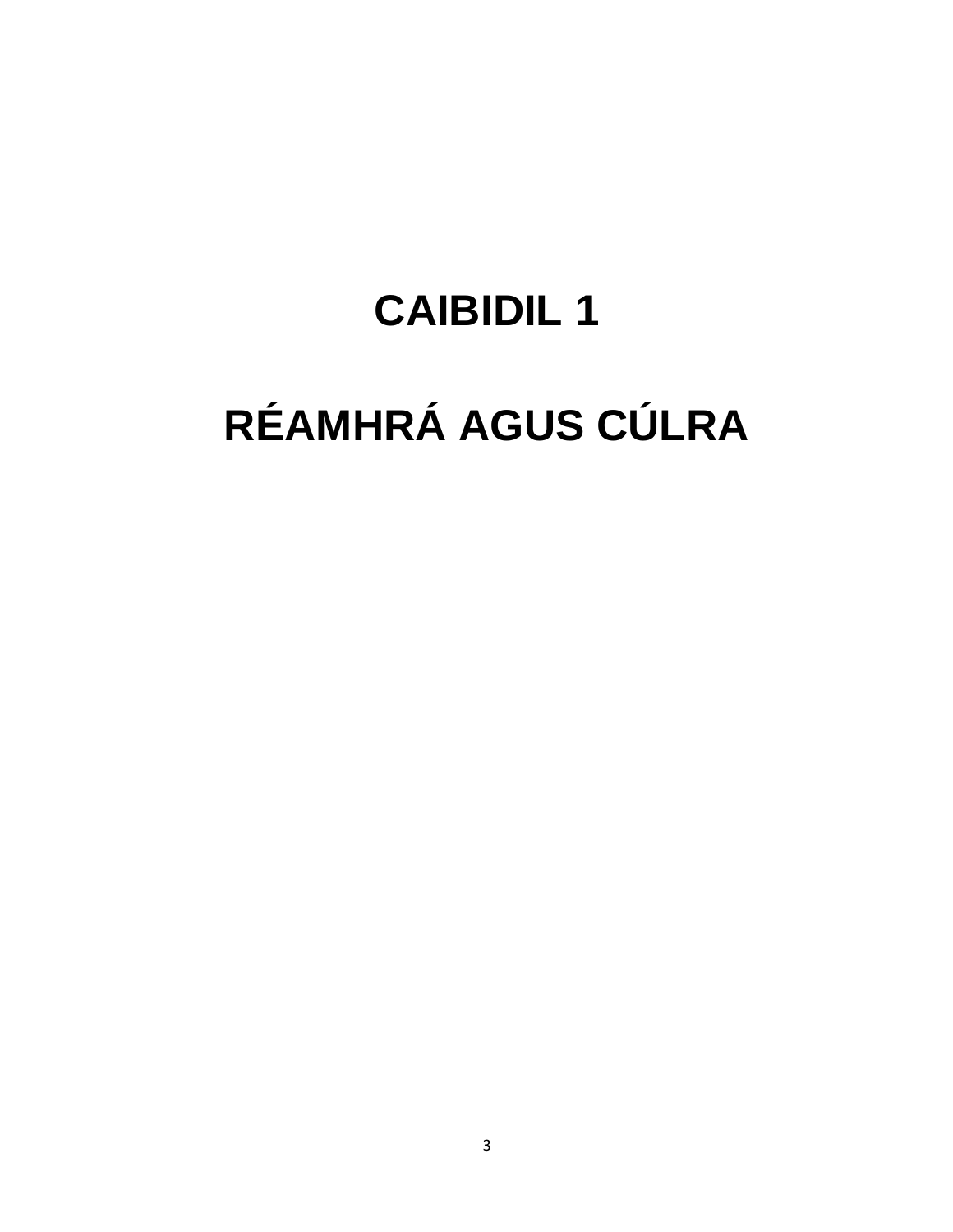# RÉAMHRÁ AGUS CÚLRA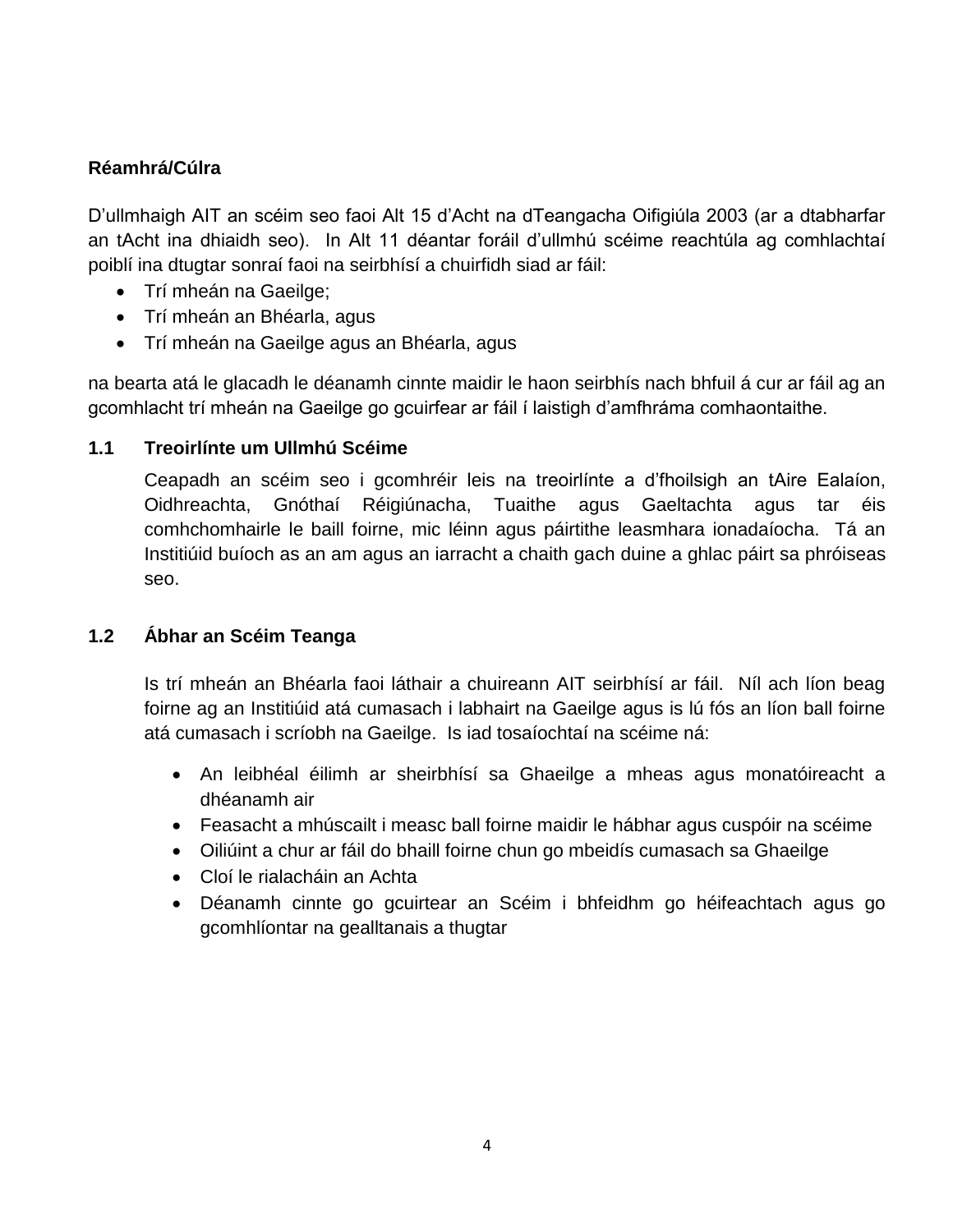#### **Réamhrá/Cúlra**

D'ullmhaigh AIT an scéim seo faoi Alt 15 d'Acht na dTeangacha Oifigiúla 2003 (ar a dtabharfar an tAcht ina dhiaidh seo). In Alt 11 déantar foráil d'ullmhú scéime reachtúla ag comhlachtaí poiblí ina dtugtar sonraí faoi na seirbhísí a chuirfidh siad ar fáil:

- Trí mheán na Gaeilge;
- Trí mheán an Bhéarla, agus
- Trí mheán na Gaeilge agus an Bhéarla, agus

na bearta atá le glacadh le déanamh cinnte maidir le haon seirbhís nach bhfuil á cur ar fáil ag an gcomhlacht trí mheán na Gaeilge go gcuirfear ar fáil í laistigh d'amfhráma comhaontaithe.

#### **1.1 Treoirlínte um Ullmhú Scéime**

Ceapadh an scéim seo i gcomhréir leis na treoirlínte a d'fhoilsigh an tAire Ealaíon, Oidhreachta, Gnóthaí Réigiúnacha, Tuaithe agus Gaeltachta agus tar éis comhchomhairle le baill foirne, mic léinn agus páirtithe leasmhara ionadaíocha. Tá an Institiúid buíoch as an am agus an iarracht a chaith gach duine a ghlac páirt sa phróiseas seo.

#### **1.2 Ábhar an Scéim Teanga**

Is trí mheán an Bhéarla faoi láthair a chuireann AIT seirbhísí ar fáil. Níl ach líon beag foirne ag an Institiúid atá cumasach i labhairt na Gaeilge agus is lú fós an líon ball foirne atá cumasach i scríobh na Gaeilge. Is iad tosaíochtaí na scéime ná:

- An leibhéal éilimh ar sheirbhísí sa Ghaeilge a mheas agus monatóireacht a dhéanamh air
- Feasacht a mhúscailt i measc ball foirne maidir le hábhar agus cuspóir na scéime
- Oiliúint a chur ar fáil do bhaill foirne chun go mbeidís cumasach sa Ghaeilge
- Cloí le rialacháin an Achta
- Déanamh cinnte go gcuirtear an Scéim i bhfeidhm go héifeachtach agus go gcomhlíontar na gealltanais a thugtar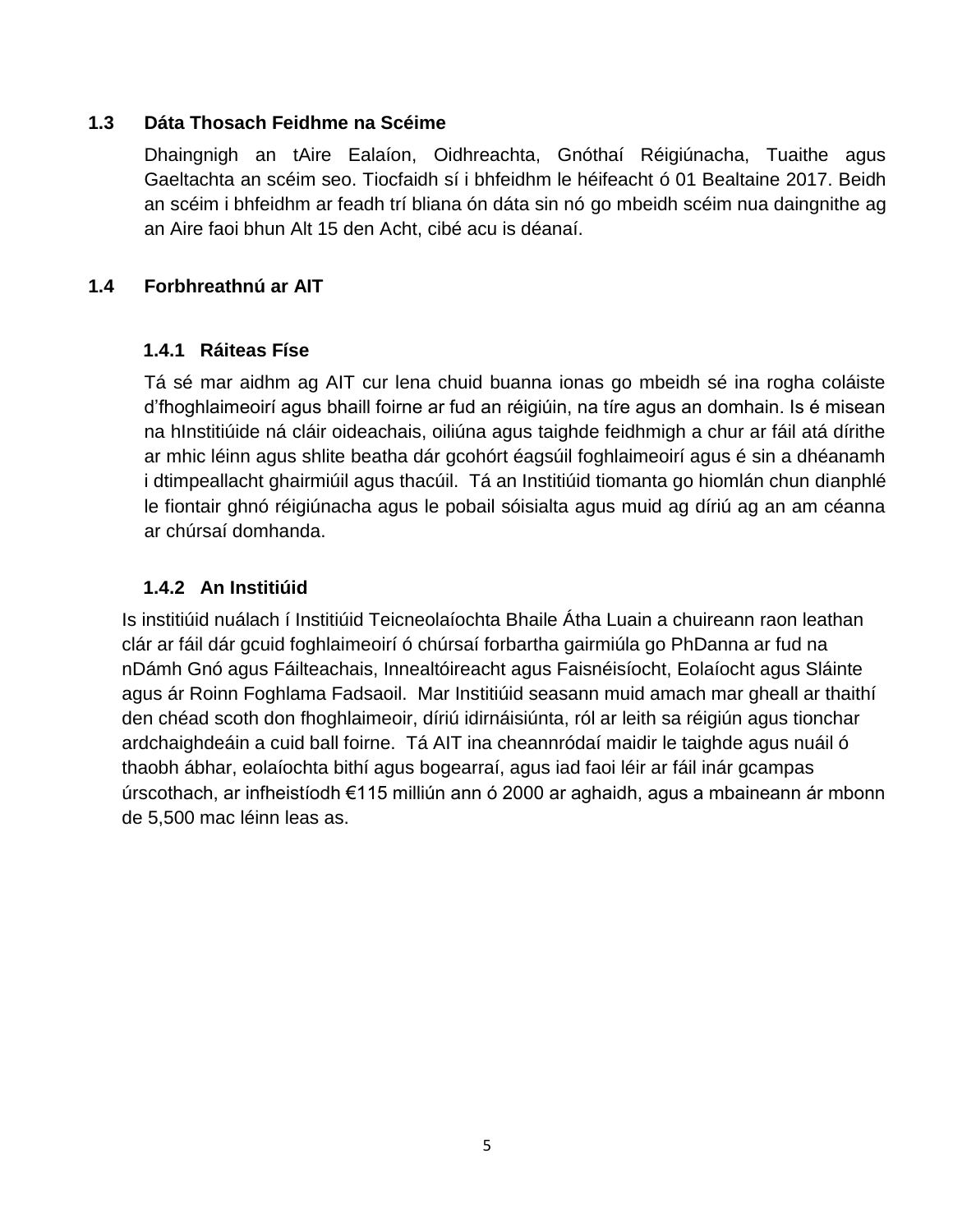#### **1.3 Dáta Thosach Feidhme na Scéime**

Dhaingnigh an tAire Ealaíon, Oidhreachta, Gnóthaí Réigiúnacha, Tuaithe agus Gaeltachta an scéim seo. Tiocfaidh sí i bhfeidhm le héifeacht ó 01 Bealtaine 2017. Beidh an scéim i bhfeidhm ar feadh trí bliana ón dáta sin nó go mbeidh scéim nua daingnithe ag an Aire faoi bhun Alt 15 den Acht, cibé acu is déanaí.

#### **1.4 Forbhreathnú ar AIT**

#### **1.4.1 Ráiteas Físe**

Tá sé mar aidhm ag AIT cur lena chuid buanna ionas go mbeidh sé ina rogha coláiste d'fhoghlaimeoirí agus bhaill foirne ar fud an réigiúin, na tíre agus an domhain. Is é misean na hInstitiúide ná cláir oideachais, oiliúna agus taighde feidhmigh a chur ar fáil atá dírithe ar mhic léinn agus shlite beatha dár gcohórt éagsúil foghlaimeoirí agus é sin a dhéanamh i dtimpeallacht ghairmiúil agus thacúil. Tá an Institiúid tiomanta go hiomlán chun dianphlé le fiontair ghnó réigiúnacha agus le pobail sóisialta agus muid ag díriú ag an am céanna ar chúrsaí domhanda.

#### **1.4.2 An Institiúid**

Is institiúid nuálach í Institiúid Teicneolaíochta Bhaile Átha Luain a chuireann raon leathan clár ar fáil dár gcuid foghlaimeoirí ó chúrsaí forbartha gairmiúla go PhDanna ar fud na nDámh Gnó agus Fáilteachais, Innealtóireacht agus Faisnéisíocht, Eolaíocht agus Sláinte agus ár Roinn Foghlama Fadsaoil. Mar Institiúid seasann muid amach mar gheall ar thaithí den chéad scoth don fhoghlaimeoir, díriú idirnáisiúnta, ról ar leith sa réigiún agus tionchar ardchaighdeáin a cuid ball foirne. Tá AIT ina cheannródaí maidir le taighde agus nuáil ó thaobh ábhar, eolaíochta bithí agus bogearraí, agus iad faoi léir ar fáil inár gcampas úrscothach, ar infheistíodh €115 milliún ann ó 2000 ar aghaidh, agus a mbaineann ár mbonn de 5,500 mac léinn leas as.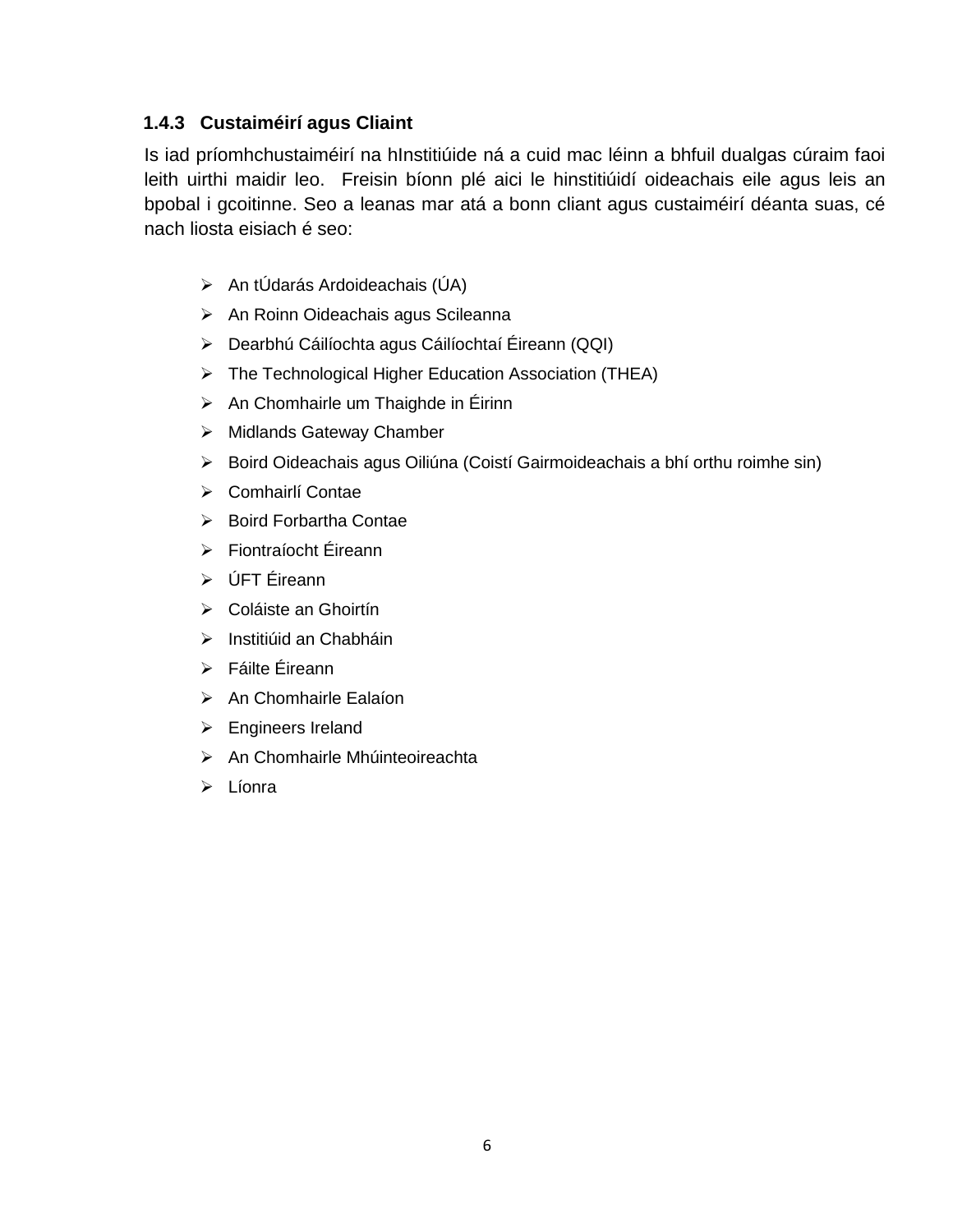#### **1.4.3 Custaiméirí agus Cliaint**

Is iad príomhchustaiméirí na hInstitiúide ná a cuid mac léinn a bhfuil dualgas cúraim faoi leith uirthi maidir leo. Freisin bíonn plé aici le hinstitiúidí oideachais eile agus leis an bpobal i gcoitinne. Seo a leanas mar atá a bonn cliant agus custaiméirí déanta suas, cé nach liosta eisiach é seo:

- An tÚdarás Ardoideachais (ÚA)
- > An Roinn Oideachais agus Scileanna
- Dearbhú Cáilíochta agus Cáilíochtaí Éireann (QQI)
- ▶ The Technological Higher Education Association (THEA)
- $\triangleright$  An Chomhairle um Thaighde in Éirinn
- $\triangleright$  Midlands Gateway Chamber
- Boird Oideachais agus Oiliúna (Coistí Gairmoideachais a bhí orthu roimhe sin)
- ▶ Comhairlí Contae
- $\triangleright$  Boird Forbartha Contae
- Fiontraíocht Éireann
- ÚFT Éireann
- Coláiste an Ghoirtín
- $\triangleright$  Institiúid an Chabháin
- Fáilte Éireann
- > An Chomhairle Ealaíon
- **Engineers Ireland**
- $\triangleright$  An Chomhairle Mhúinteoireachta
- $\triangleright$  Líonra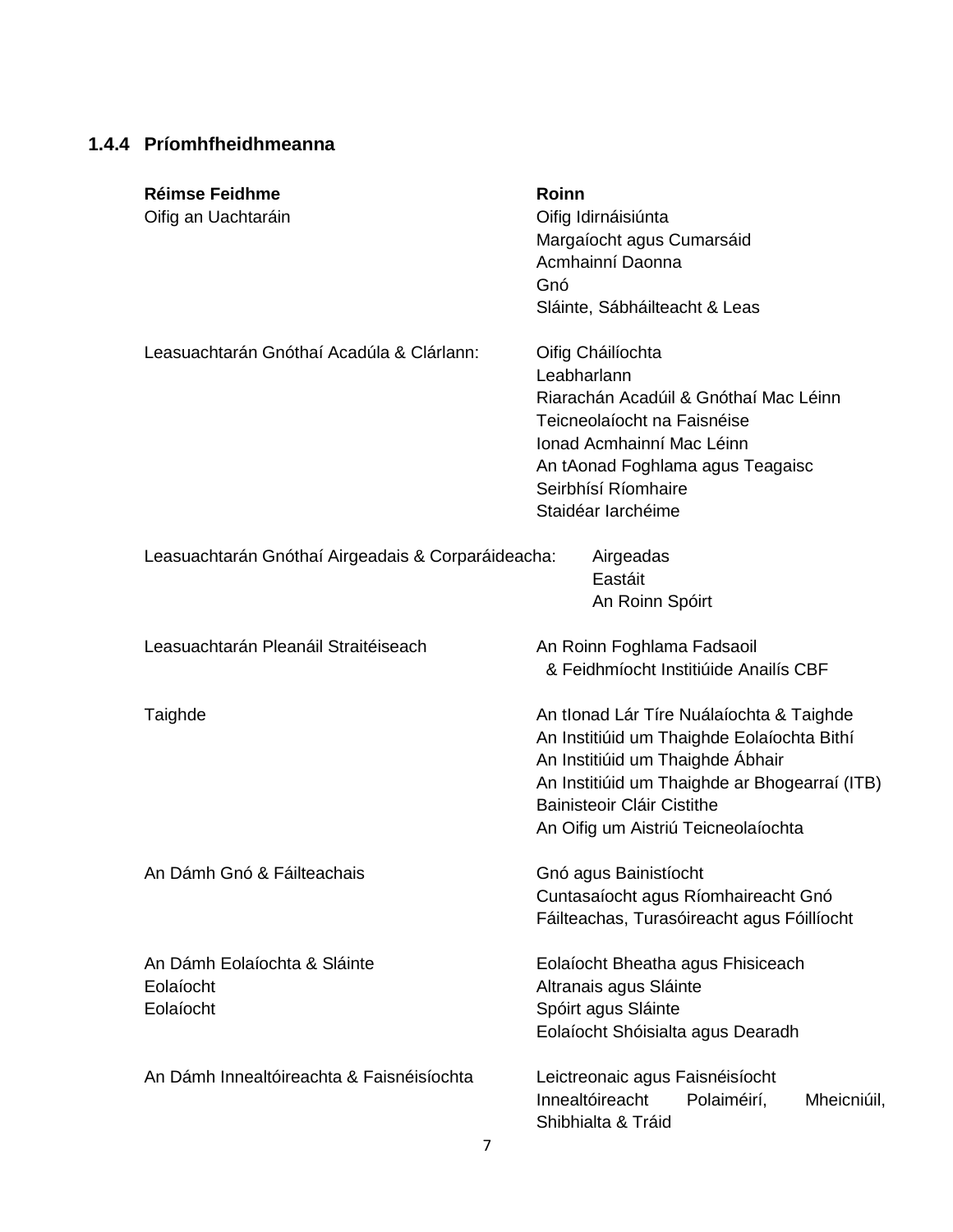#### **1.4.4 Príomhfheidhmeanna**

| <b>Réimse Feidhme</b><br>Oifig an Uachtaráin           | <b>Roinn</b><br>Oifig Idirnáisiúnta<br>Margaíocht agus Cumarsáid<br>Acmhainní Daonna<br>Gnó<br>Sláinte, Sábháilteacht & Leas                                                                                                                     |
|--------------------------------------------------------|--------------------------------------------------------------------------------------------------------------------------------------------------------------------------------------------------------------------------------------------------|
| Leasuachtarán Gnóthaí Acadúla & Clárlann:              | Oifig Cháilíochta<br>Leabharlann<br>Riarachán Acadúil & Gnóthaí Mac Léinn<br>Teicneolaíocht na Faisnéise<br>Ionad Acmhainní Mac Léinn<br>An tAonad Foghlama agus Teagaisc<br>Seirbhísí Ríomhaire<br>Staidéar Iarchéime                           |
| Leasuachtarán Gnóthaí Airgeadais & Corparáideacha:     | Airgeadas<br>Eastáit<br>An Roinn Spóirt                                                                                                                                                                                                          |
| Leasuachtarán Pleanáil Straitéiseach                   | An Roinn Foghlama Fadsaoil<br>& Feidhmíocht Institiúide Anailís CBF                                                                                                                                                                              |
| Taighde                                                | An tIonad Lár Tíre Nuálaíochta & Taighde<br>An Institiúid um Thaighde Eolaíochta Bithí<br>An Institiúid um Thaighde Ábhair<br>An Institiúid um Thaighde ar Bhogearraí (ITB)<br>Bainisteoir Cláir Cistithe<br>An Oifig um Aistriú Teicneolaíochta |
| An Dámh Gnó & Fáilteachais                             | Gnó agus Bainistíocht<br>Cuntasaíocht agus Ríomhaireacht Gnó<br>Fáilteachas, Turasóireacht agus Fóillíocht                                                                                                                                       |
| An Dámh Eolaíochta & Sláinte<br>Eolaíocht<br>Eolaíocht | Eolaíocht Bheatha agus Fhisiceach<br>Altranais agus Sláinte<br>Spóirt agus Sláinte<br>Eolaíocht Shóisialta agus Dearadh                                                                                                                          |
| An Dámh Innealtóireachta & Faisnéisíochta              | Leictreonaic agus Faisnéisíocht<br>Innealtóireacht<br>Polaiméirí,<br>Mheicniúil,<br>Shibhialta & Tráid                                                                                                                                           |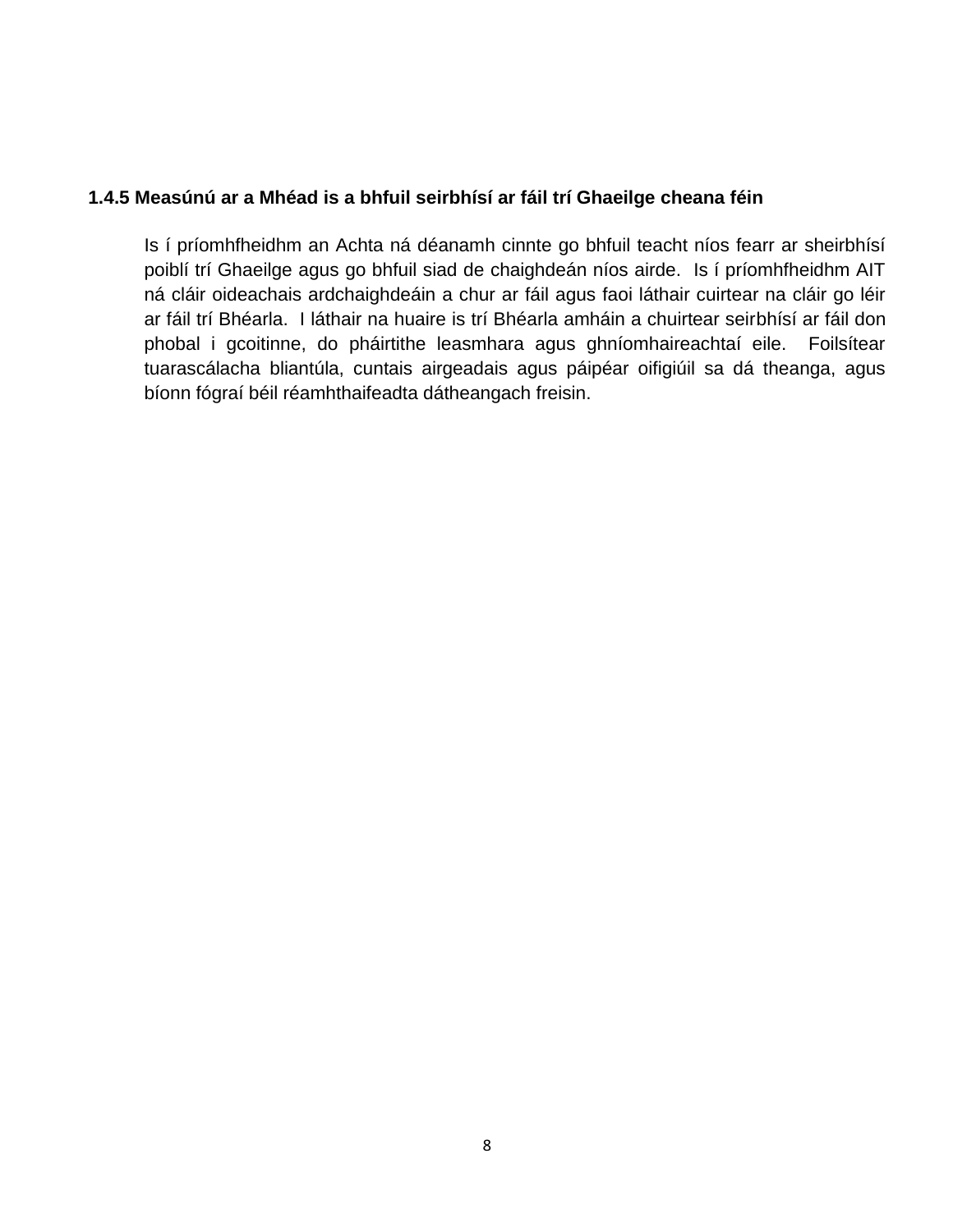#### **1.4.5 Measúnú ar a Mhéad is a bhfuil seirbhísí ar fáil trí Ghaeilge cheana féin**

Is í príomhfheidhm an Achta ná déanamh cinnte go bhfuil teacht níos fearr ar sheirbhísí poiblí trí Ghaeilge agus go bhfuil siad de chaighdeán níos airde. Is í príomhfheidhm AIT ná cláir oideachais ardchaighdeáin a chur ar fáil agus faoi láthair cuirtear na cláir go léir ar fáil trí Bhéarla. I láthair na huaire is trí Bhéarla amháin a chuirtear seirbhísí ar fáil don phobal i gcoitinne, do pháirtithe leasmhara agus ghníomhaireachtaí eile. Foilsítear tuarascálacha bliantúla, cuntais airgeadais agus páipéar oifigiúil sa dá theanga, agus bíonn fógraí béil réamhthaifeadta dátheangach freisin.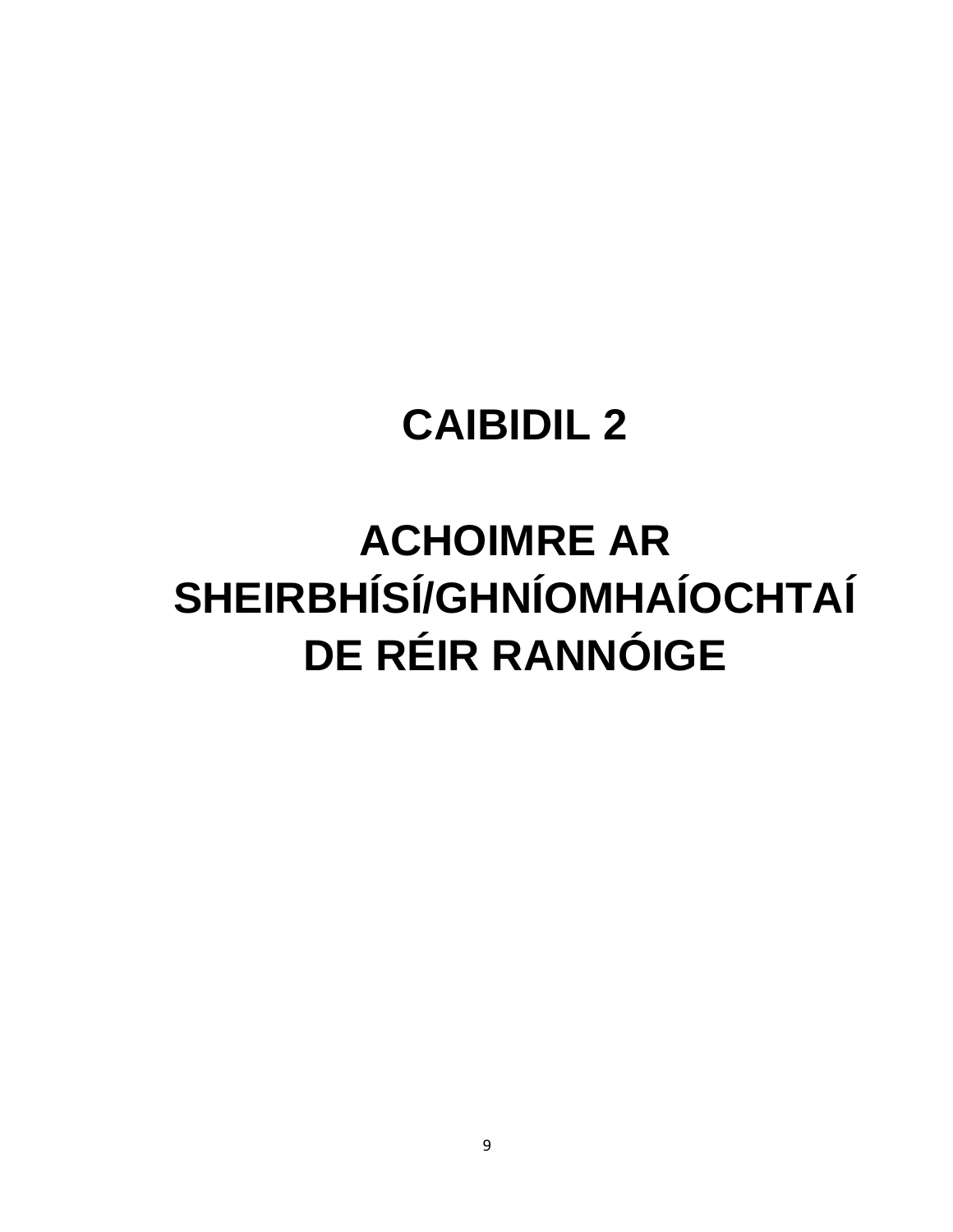### **ACHOIMRE AR** SHEIRBHÍSÍ/GHNÍOMHAÍOCHTAÍ **DE RÉIR RANNÓIGE**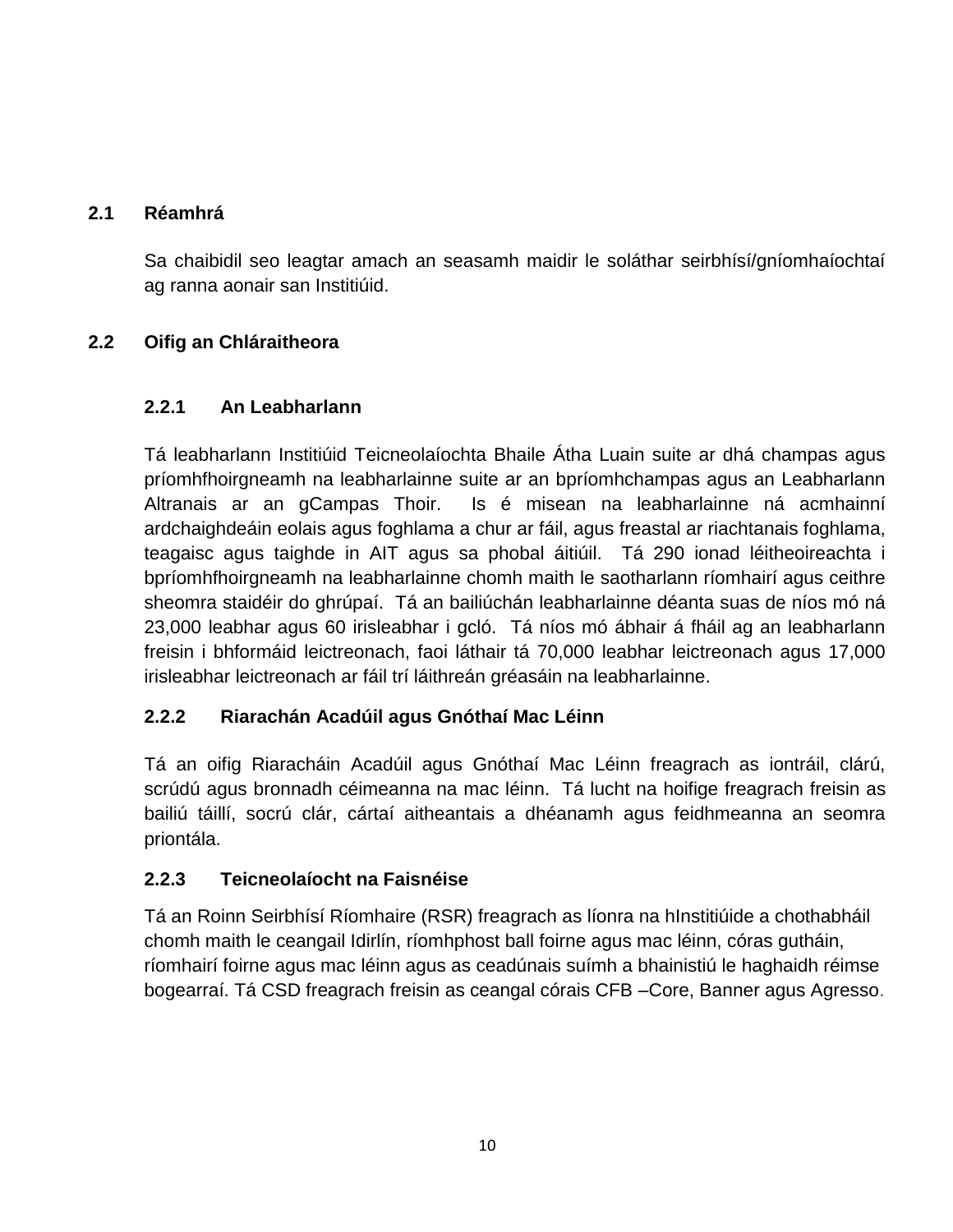#### **2.1 Réamhrá**

Sa chaibidil seo leagtar amach an seasamh maidir le soláthar seirbhísí/gníomhaíochtaí ag ranna aonair san Institiúid.

#### **2.2 Oifig an Chláraitheora**

#### **2.2.1 An Leabharlann**

Tá leabharlann Institiúid Teicneolaíochta Bhaile Átha Luain suite ar dhá champas agus príomhfhoirgneamh na leabharlainne suite ar an bpríomhchampas agus an Leabharlann Altranais ar an gCampas Thoir. Is é misean na leabharlainne ná acmhainní ardchaighdeáin eolais agus foghlama a chur ar fáil, agus freastal ar riachtanais foghlama, teagaisc agus taighde in AIT agus sa phobal áitiúil. Tá 290 ionad léitheoireachta i bpríomhfhoirgneamh na leabharlainne chomh maith le saotharlann ríomhairí agus ceithre sheomra staidéir do ghrúpaí. Tá an bailiúchán leabharlainne déanta suas de níos mó ná 23,000 leabhar agus 60 irisleabhar i gcló. Tá níos mó ábhair á fháil ag an leabharlann freisin i bhformáid leictreonach, faoi láthair tá 70,000 leabhar leictreonach agus 17,000 irisleabhar leictreonach ar fáil trí láithreán gréasáin na leabharlainne.

#### **2.2.2 Riarachán Acadúil agus Gnóthaí Mac Léinn**

Tá an oifig Riaracháin Acadúil agus Gnóthaí Mac Léinn freagrach as iontráil, clárú, scrúdú agus bronnadh céimeanna na mac léinn. Tá lucht na hoifige freagrach freisin as bailiú táillí, socrú clár, cártaí aitheantais a dhéanamh agus feidhmeanna an seomra priontála.

#### **2.2.3 Teicneolaíocht na Faisnéise**

Tá an Roinn Seirbhísí Ríomhaire (RSR) freagrach as líonra na hInstitiúide a chothabháil chomh maith le ceangail Idirlín, ríomhphost ball foirne agus mac léinn, córas gutháin, ríomhairí foirne agus mac léinn agus as ceadúnais suímh a bhainistiú le haghaidh réimse bogearraí. Tá CSD freagrach freisin as ceangal córais CFB –Core, Banner agus Agresso.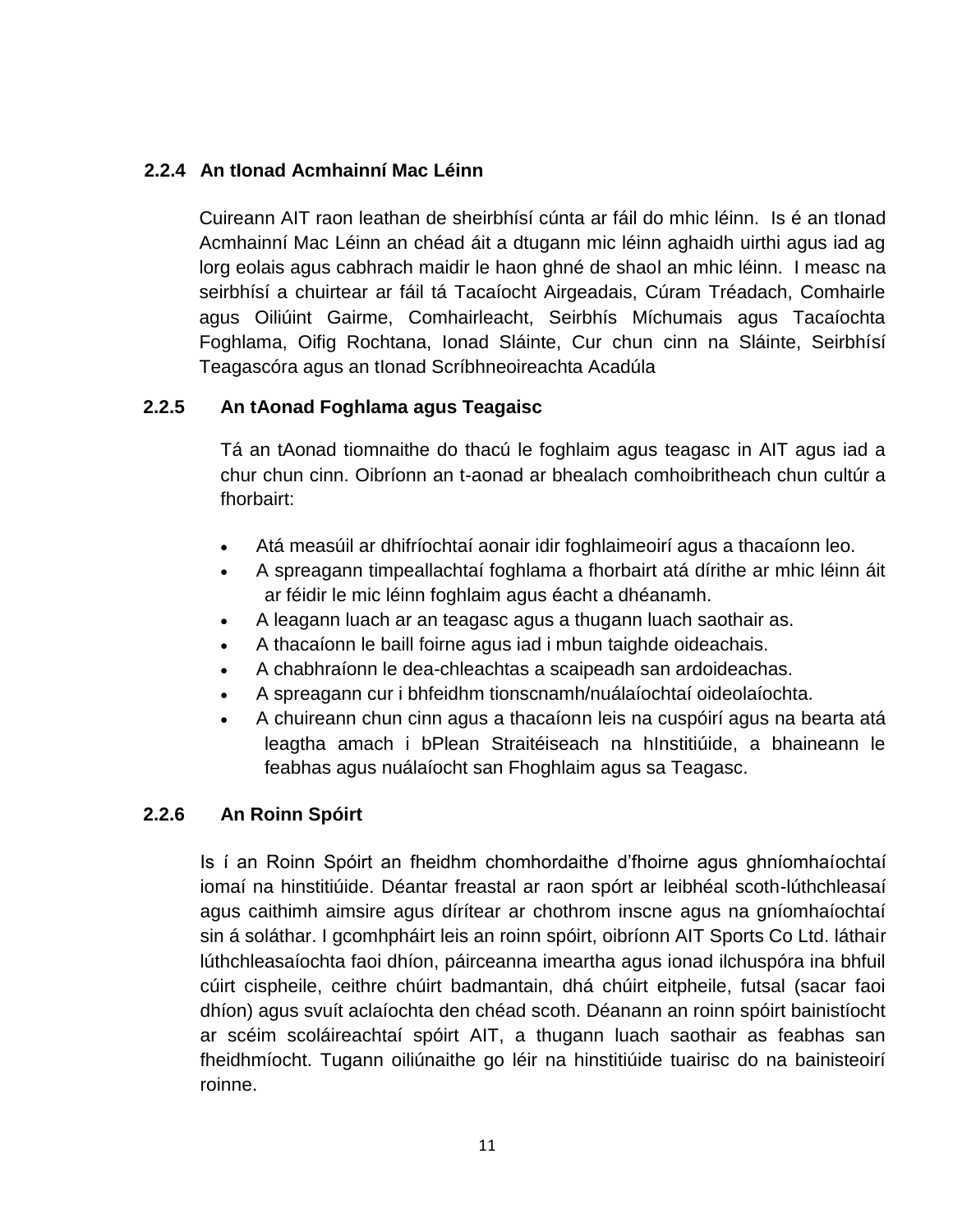#### **2.2.4 An tIonad Acmhainní Mac Léinn**

Cuireann AIT raon leathan de sheirbhísí cúnta ar fáil do mhic léinn. Is é an tIonad Acmhainní Mac Léinn an chéad áit a dtugann mic léinn aghaidh uirthi agus iad ag lorg eolais agus cabhrach maidir le haon ghné de shaol an mhic léinn. I measc na seirbhísí a chuirtear ar fáil tá Tacaíocht Airgeadais, Cúram Tréadach, Comhairle agus Oiliúint Gairme, Comhairleacht, Seirbhís Míchumais agus Tacaíochta Foghlama, Oifig Rochtana, Ionad Sláinte, Cur chun cinn na Sláinte, Seirbhísí Teagascóra agus an tIonad Scríbhneoireachta Acadúla

#### **2.2.5 An tAonad Foghlama agus Teagaisc**

Tá an tAonad tiomnaithe do thacú le foghlaim agus teagasc in AIT agus iad a chur chun cinn. Oibríonn an t-aonad ar bhealach comhoibritheach chun cultúr a fhorbairt:

- Atá measúil ar dhifríochtaí aonair idir foghlaimeoirí agus a thacaíonn leo.
- A spreagann timpeallachtaí foghlama a fhorbairt atá dírithe ar mhic léinn áit ar féidir le mic léinn foghlaim agus éacht a dhéanamh.
- A leagann luach ar an teagasc agus a thugann luach saothair as.
- A thacaíonn le baill foirne agus iad i mbun taighde oideachais.
- A chabhraíonn le dea-chleachtas a scaipeadh san ardoideachas.
- A spreagann cur i bhfeidhm tionscnamh/nuálaíochtaí oideolaíochta.
- A chuireann chun cinn agus a thacaíonn leis na cuspóirí agus na bearta atá leagtha amach i bPlean Straitéiseach na hInstitiúide, a bhaineann le feabhas agus nuálaíocht san Fhoghlaim agus sa Teagasc.

#### **2.2.6 An Roinn Spóirt**

Is í an Roinn Spóirt an fheidhm chomhordaithe d'fhoirne agus ghníomhaíochtaí iomaí na hinstitiúide. Déantar freastal ar raon spórt ar leibhéal scoth-lúthchleasaí agus caithimh aimsire agus dírítear ar chothrom inscne agus na gníomhaíochtaí sin á soláthar. I gcomhpháirt leis an roinn spóirt, oibríonn AIT Sports Co Ltd. láthair lúthchleasaíochta faoi dhíon, páirceanna imeartha agus ionad ilchuspóra ina bhfuil cúirt cispheile, ceithre chúirt badmantain, dhá chúirt eitpheile, futsal (sacar faoi dhíon) agus svuít aclaíochta den chéad scoth. Déanann an roinn spóirt bainistíocht ar scéim scoláireachtaí spóirt AIT, a thugann luach saothair as feabhas san fheidhmíocht. Tugann oiliúnaithe go léir na hinstitiúide tuairisc do na bainisteoirí roinne.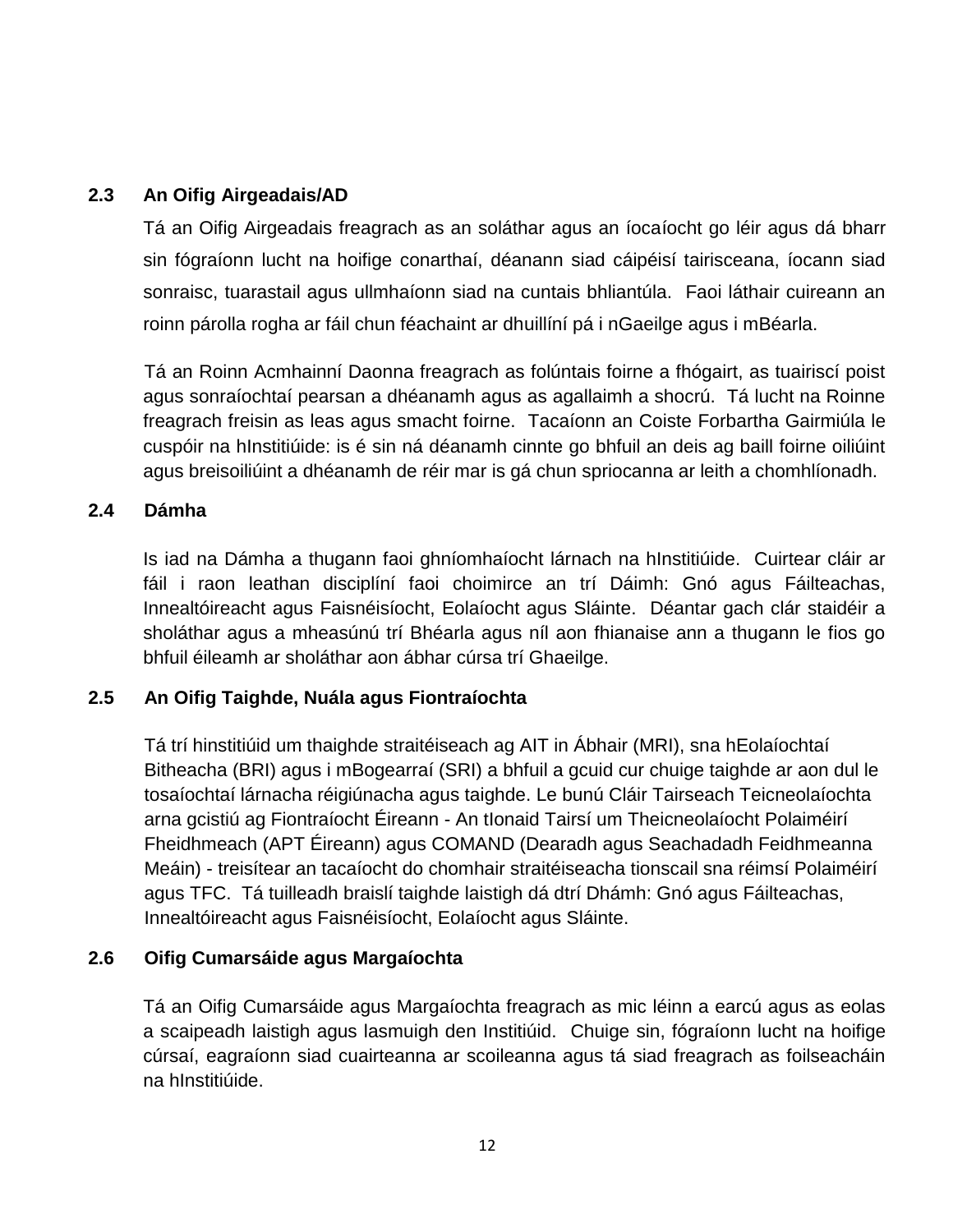#### **2.3 An Oifig Airgeadais/AD**

Tá an Oifig Airgeadais freagrach as an soláthar agus an íocaíocht go léir agus dá bharr sin fógraíonn lucht na hoifige conarthaí, déanann siad cáipéisí tairisceana, íocann siad sonraisc, tuarastail agus ullmhaíonn siad na cuntais bhliantúla. Faoi láthair cuireann an roinn párolla rogha ar fáil chun féachaint ar dhuillíní pá i nGaeilge agus i mBéarla.

Tá an Roinn Acmhainní Daonna freagrach as folúntais foirne a fhógairt, as tuairiscí poist agus sonraíochtaí pearsan a dhéanamh agus as agallaimh a shocrú. Tá lucht na Roinne freagrach freisin as leas agus smacht foirne. Tacaíonn an Coiste Forbartha Gairmiúla le cuspóir na hInstitiúide: is é sin ná déanamh cinnte go bhfuil an deis ag baill foirne oiliúint agus breisoiliúint a dhéanamh de réir mar is gá chun spriocanna ar leith a chomhlíonadh.

#### **2.4 Dámha**

Is iad na Dámha a thugann faoi ghníomhaíocht lárnach na hInstitiúide. Cuirtear cláir ar fáil i raon leathan disciplíní faoi choimirce an trí Dáimh: Gnó agus Fáilteachas, Innealtóireacht agus Faisnéisíocht, Eolaíocht agus Sláinte. Déantar gach clár staidéir a sholáthar agus a mheasúnú trí Bhéarla agus níl aon fhianaise ann a thugann le fios go bhfuil éileamh ar sholáthar aon ábhar cúrsa trí Ghaeilge.

#### **2.5 An Oifig Taighde, Nuála agus Fiontraíochta**

Tá trí hinstitiúid um thaighde straitéiseach ag AIT in Ábhair (MRI), sna hEolaíochtaí Bitheacha (BRI) agus i mBogearraí (SRI) a bhfuil a gcuid cur chuige taighde ar aon dul le tosaíochtaí lárnacha réigiúnacha agus taighde. Le bunú Cláir Tairseach Teicneolaíochta arna gcistiú ag Fiontraíocht Éireann - An tIonaid Tairsí um Theicneolaíocht Polaiméirí Fheidhmeach (APT Éireann) agus COMAND (Dearadh agus Seachadadh Feidhmeanna Meáin) - treisítear an tacaíocht do chomhair straitéiseacha tionscail sna réimsí Polaiméirí agus TFC. Tá tuilleadh braislí taighde laistigh dá dtrí Dhámh: Gnó agus Fáilteachas, Innealtóireacht agus Faisnéisíocht, Eolaíocht agus Sláinte.

#### **2.6 Oifig Cumarsáide agus Margaíochta**

Tá an Oifig Cumarsáide agus Margaíochta freagrach as mic léinn a earcú agus as eolas a scaipeadh laistigh agus lasmuigh den Institiúid. Chuige sin, fógraíonn lucht na hoifige cúrsaí, eagraíonn siad cuairteanna ar scoileanna agus tá siad freagrach as foilseacháin na hInstitiúide.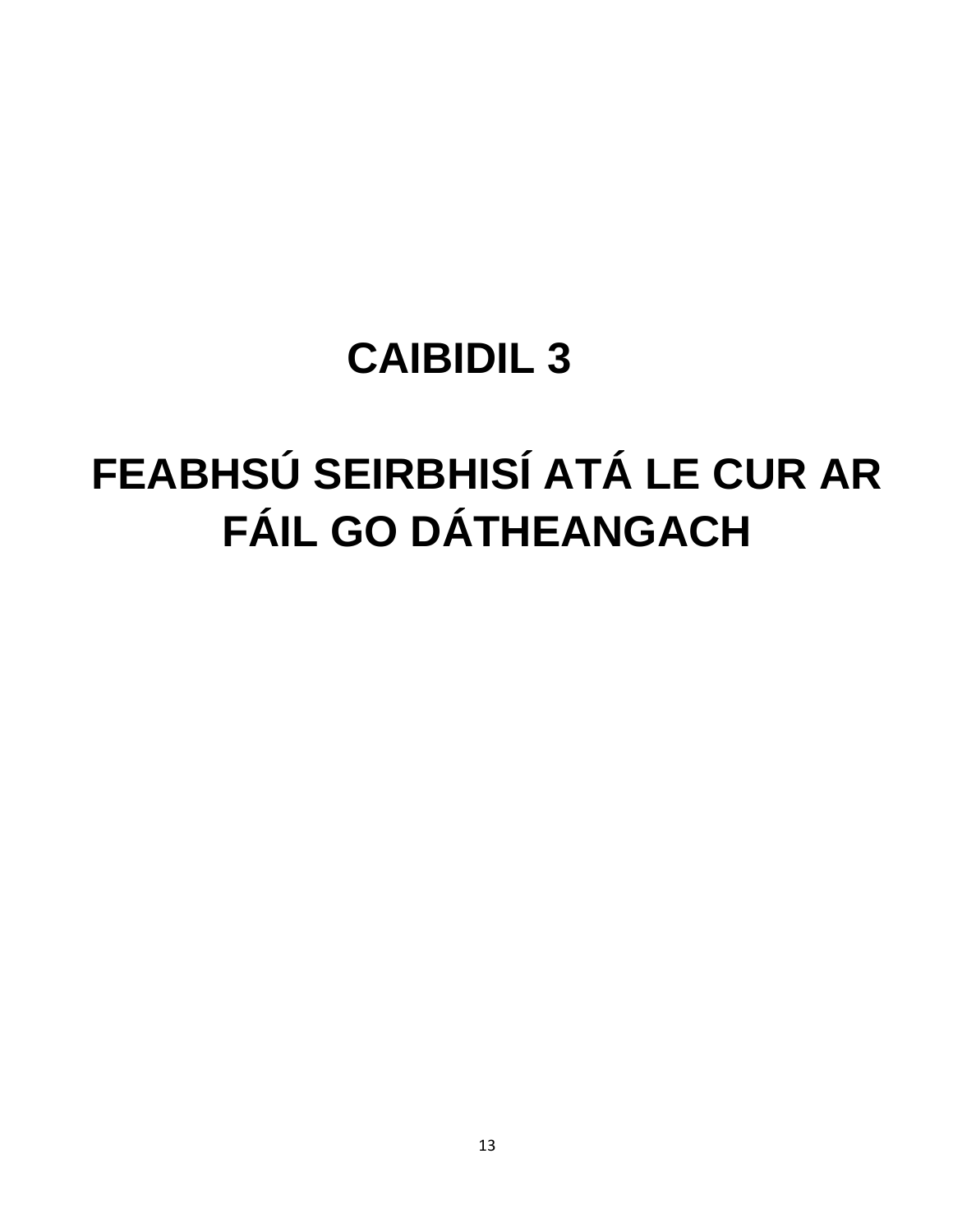# FEABHSÚ SEIRBHISÍ ATÁ LE CUR AR **FÁIL GO DÁTHEANGACH**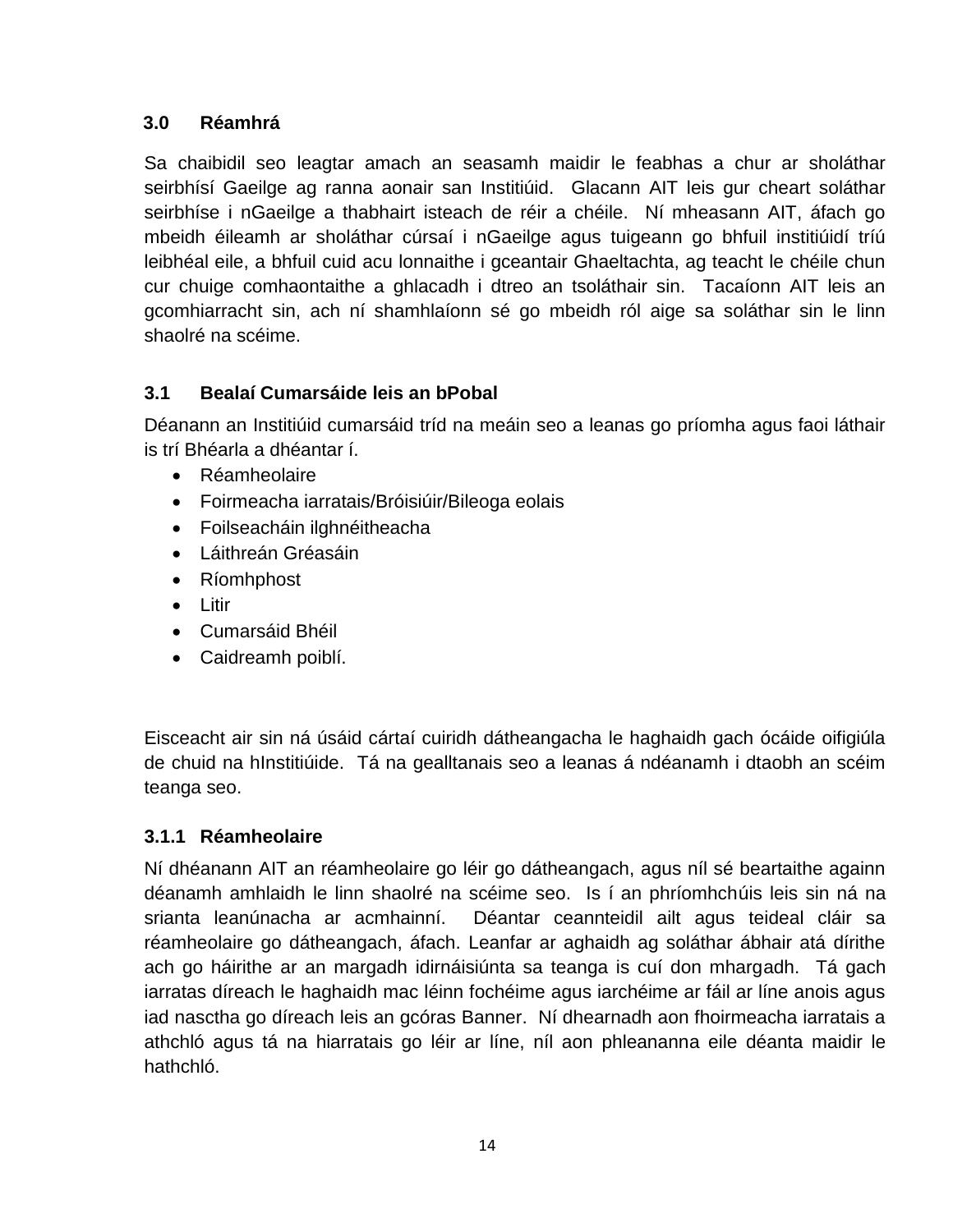#### **3.0 Réamhrá**

Sa chaibidil seo leagtar amach an seasamh maidir le feabhas a chur ar sholáthar seirbhísí Gaeilge ag ranna aonair san Institiúid. Glacann AIT leis gur cheart soláthar seirbhíse i nGaeilge a thabhairt isteach de réir a chéile. Ní mheasann AIT, áfach go mbeidh éileamh ar sholáthar cúrsaí i nGaeilge agus tuigeann go bhfuil institiúidí tríú leibhéal eile, a bhfuil cuid acu lonnaithe i gceantair Ghaeltachta, ag teacht le chéile chun cur chuige comhaontaithe a ghlacadh i dtreo an tsoláthair sin. Tacaíonn AIT leis an gcomhiarracht sin, ach ní shamhlaíonn sé go mbeidh ról aige sa soláthar sin le linn shaolré na scéime.

#### **3.1 Bealaí Cumarsáide leis an bPobal**

Déanann an Institiúid cumarsáid tríd na meáin seo a leanas go príomha agus faoi láthair is trí Bhéarla a dhéantar í.

- Réamheolaire
- Foirmeacha iarratais/Bróisiúir/Bileoga eolais
- Foilseacháin ilghnéitheacha
- Láithreán Gréasáin
- Ríomhphost
- $\bullet$  litir
- Cumarsáid Bhéil
- Caidreamh poiblí.

Eisceacht air sin ná úsáid cártaí cuiridh dátheangacha le haghaidh gach ócáide oifigiúla de chuid na hInstitiúide. Tá na gealltanais seo a leanas á ndéanamh i dtaobh an scéim teanga seo.

#### **3.1.1 Réamheolaire**

Ní dhéanann AIT an réamheolaire go léir go dátheangach, agus níl sé beartaithe againn déanamh amhlaidh le linn shaolré na scéime seo. Is í an phríomhchúis leis sin ná na srianta leanúnacha ar acmhainní. Déantar ceannteidil ailt agus teideal cláir sa réamheolaire go dátheangach, áfach. Leanfar ar aghaidh ag soláthar ábhair atá dírithe ach go háirithe ar an margadh idirnáisiúnta sa teanga is cuí don mhargadh. Tá gach iarratas díreach le haghaidh mac léinn fochéime agus iarchéime ar fáil ar líne anois agus iad nasctha go díreach leis an gcóras Banner. Ní dhearnadh aon fhoirmeacha iarratais a athchló agus tá na hiarratais go léir ar líne, níl aon phleananna eile déanta maidir le hathchló.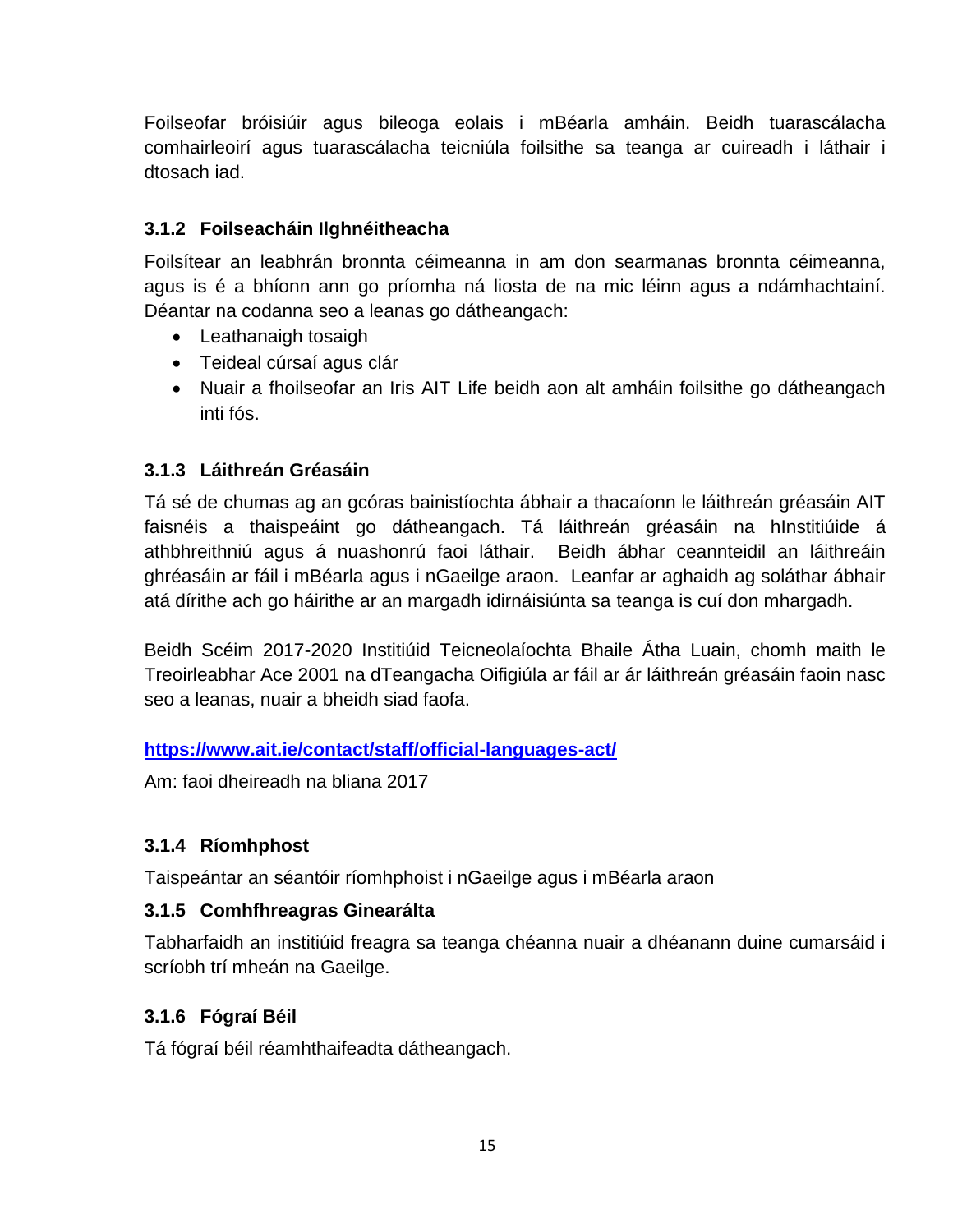Foilseofar bróisiúir agus bileoga eolais i mBéarla amháin. Beidh tuarascálacha comhairleoirí agus tuarascálacha teicniúla foilsithe sa teanga ar cuireadh i láthair i dtosach iad.

#### **3.1.2 Foilseacháin Ilghnéitheacha**

Foilsítear an leabhrán bronnta céimeanna in am don searmanas bronnta céimeanna, agus is é a bhíonn ann go príomha ná liosta de na mic léinn agus a ndámhachtainí. Déantar na codanna seo a leanas go dátheangach:

- Leathanaigh tosaigh
- Teideal cúrsaí agus clár
- Nuair a fhoilseofar an Iris AIT Life beidh aon alt amháin foilsithe go dátheangach inti fós.

#### **3.1.3 Láithreán Gréasáin**

Tá sé de chumas ag an gcóras bainistíochta ábhair a thacaíonn le láithreán gréasáin AIT faisnéis a thaispeáint go dátheangach. Tá láithreán gréasáin na hInstitiúide á athbhreithniú agus á nuashonrú faoi láthair. Beidh ábhar ceannteidil an láithreáin ghréasáin ar fáil i mBéarla agus i nGaeilge araon. Leanfar ar aghaidh ag soláthar ábhair atá dírithe ach go háirithe ar an margadh idirnáisiúnta sa teanga is cuí don mhargadh.

Beidh Scéim 2017-2020 Institiúid Teicneolaíochta Bhaile Átha Luain, chomh maith le Treoirleabhar Ace 2001 na dTeangacha Oifigiúla ar fáil ar ár láithreán gréasáin faoin nasc seo a leanas, nuair a bheidh siad faofa.

#### **<https://www.ait.ie/contact/staff/official-languages-act/>**

Am: faoi dheireadh na bliana 2017

#### **3.1.4 Ríomhphost**

Taispeántar an séantóir ríomhphoist i nGaeilge agus i mBéarla araon

#### **3.1.5 Comhfhreagras Ginearálta**

Tabharfaidh an institiúid freagra sa teanga chéanna nuair a dhéanann duine cumarsáid i scríobh trí mheán na Gaeilge.

#### **3.1.6 Fógraí Béil**

Tá fógraí béil réamhthaifeadta dátheangach.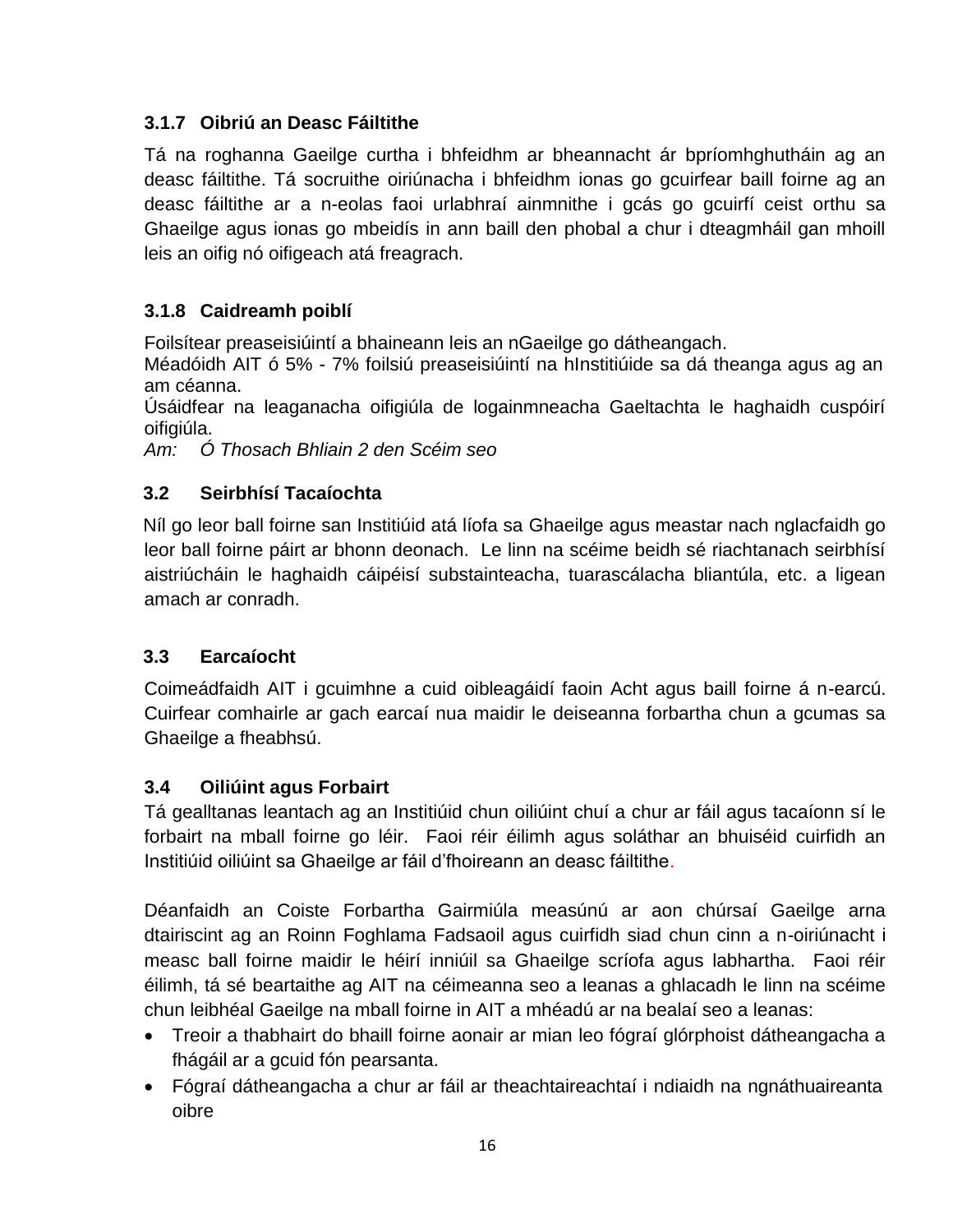#### **3.1.7 Oibriú an Deasc Fáiltithe**

Tá na roghanna Gaeilge curtha i bhfeidhm ar bheannacht ár bpríomhghutháin ag an deasc fáiltithe. Tá socruithe oiriúnacha i bhfeidhm ionas go gcuirfear baill foirne ag an deasc fáiltithe ar a n-eolas faoi urlabhraí ainmnithe i gcás go gcuirfí ceist orthu sa Ghaeilge agus ionas go mbeidís in ann baill den phobal a chur i dteagmháil gan mhoill leis an oifig nó oifigeach atá freagrach.

#### **3.1.8 Caidreamh poiblí**

Foilsítear preaseisiúintí a bhaineann leis an nGaeilge go dátheangach.

Méadóidh AIT ó 5% - 7% foilsiú preaseisiúintí na hInstitiúide sa dá theanga agus ag an am céanna.

Úsáidfear na leaganacha oifigiúla de logainmneacha Gaeltachta le haghaidh cuspóirí oifigiúla.

*Am: Ó Thosach Bhliain 2 den Scéim seo*

#### **3.2 Seirbhísí Tacaíochta**

Níl go leor ball foirne san Institiúid atá líofa sa Ghaeilge agus meastar nach nglacfaidh go leor ball foirne páirt ar bhonn deonach. Le linn na scéime beidh sé riachtanach seirbhísí aistriúcháin le haghaidh cáipéisí substainteacha, tuarascálacha bliantúla, etc. a ligean amach ar conradh.

#### **3.3 Earcaíocht**

Coimeádfaidh AIT i gcuimhne a cuid oibleagáidí faoin Acht agus baill foirne á n-earcú. Cuirfear comhairle ar gach earcaí nua maidir le deiseanna forbartha chun a gcumas sa Ghaeilge a fheabhsú.

#### **3.4 Oiliúint agus Forbairt**

Tá gealltanas leantach ag an Institiúid chun oiliúint chuí a chur ar fáil agus tacaíonn sí le forbairt na mball foirne go léir. Faoi réir éilimh agus soláthar an bhuiséid cuirfidh an Institiúid oiliúint sa Ghaeilge ar fáil d'fhoireann an deasc fáiltithe.

Déanfaidh an Coiste Forbartha Gairmiúla measúnú ar aon chúrsaí Gaeilge arna dtairiscint ag an Roinn Foghlama Fadsaoil agus cuirfidh siad chun cinn a n-oiriúnacht i measc ball foirne maidir le héirí inniúil sa Ghaeilge scríofa agus labhartha. Faoi réir éilimh, tá sé beartaithe ag AIT na céimeanna seo a leanas a ghlacadh le linn na scéime chun leibhéal Gaeilge na mball foirne in AIT a mhéadú ar na bealaí seo a leanas:

- Treoir a thabhairt do bhaill foirne aonair ar mian leo fógraí glórphoist dátheangacha a fhágáil ar a gcuid fón pearsanta.
- Fógraí dátheangacha a chur ar fáil ar theachtaireachtaí i ndiaidh na ngnáthuaireanta oibre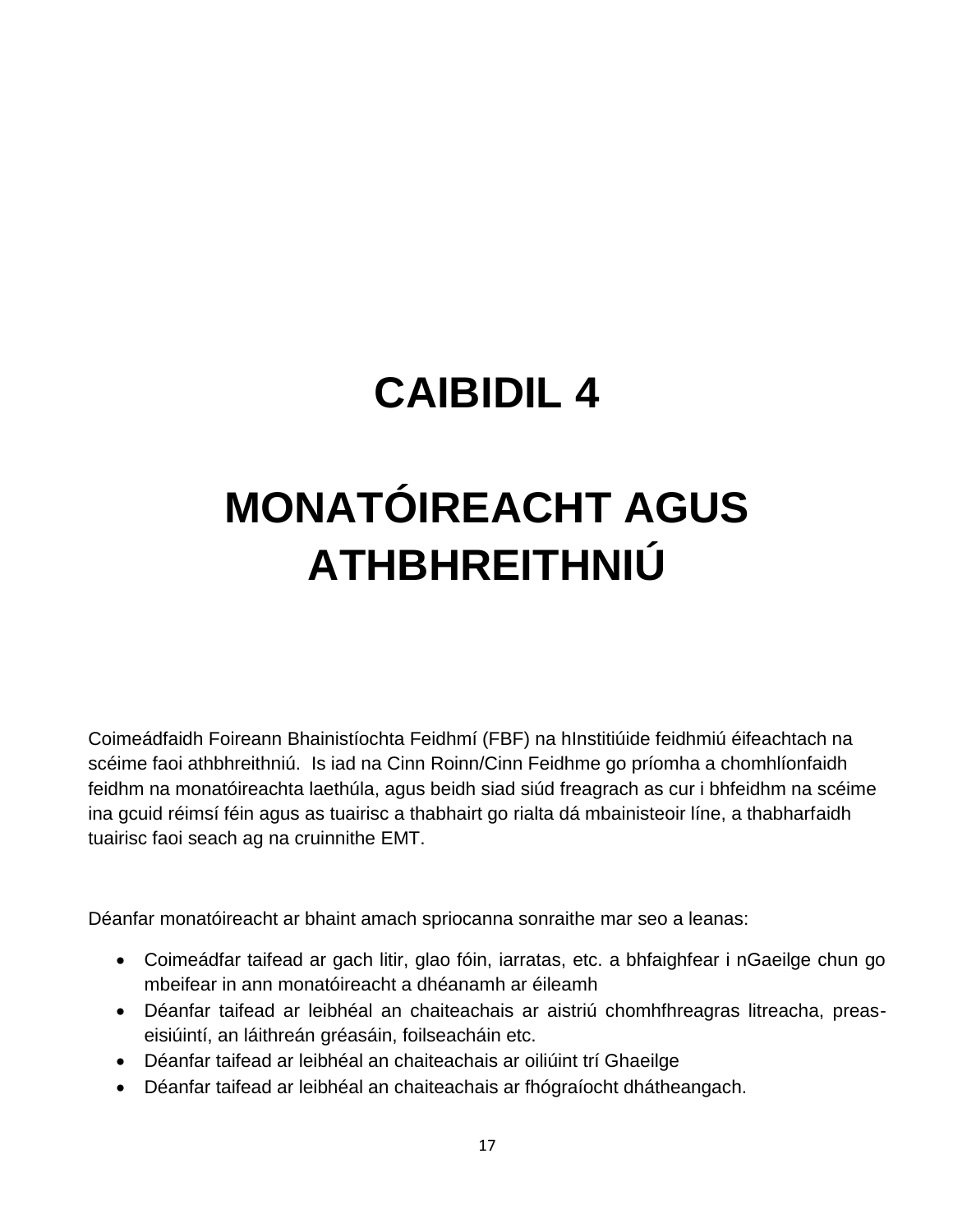# **MONATÓIREACHT AGUS ATHBHREITHNIÚ**

Coimeádfaidh Foireann Bhainistíochta Feidhmí (FBF) na hInstitiúide feidhmiú éifeachtach na scéime faoi athbhreithniú. Is iad na Cinn Roinn/Cinn Feidhme go príomha a chomhlíonfaidh feidhm na monatóireachta laethúla, agus beidh siad siúd freagrach as cur i bhfeidhm na scéime ina gcuid réimsí féin agus as tuairisc a thabhairt go rialta dá mbainisteoir líne, a thabharfaidh tuairisc faoi seach ag na cruinnithe EMT.

Déanfar monatóireacht ar bhaint amach spriocanna sonraithe mar seo a leanas:

- Coimeádfar taifead ar gach litir, glao fóin, iarratas, etc. a bhfaighfear i nGaeilge chun go mbeifear in ann monatóireacht a dhéanamh ar éileamh
- Déanfar taifead ar leibhéal an chaiteachais ar aistriú chomhfhreagras litreacha, preaseisiúintí, an láithreán gréasáin, foilseacháin etc.
- Déanfar taifead ar leibhéal an chaiteachais ar oiliúint trí Ghaeilge
- Déanfar taifead ar leibhéal an chaiteachais ar fhógraíocht dhátheangach.